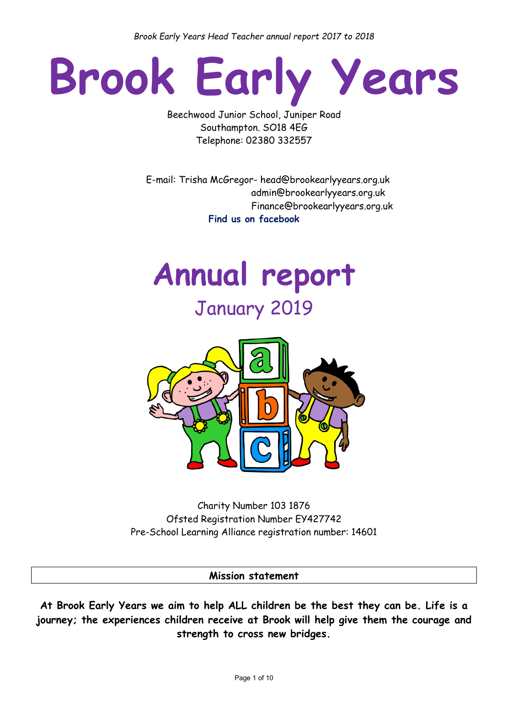*Brook Early Years Head Teacher annual report 2017 to 2018*

# **Brook Early Years**

Beechwood Junior School, Juniper Road Southampton. SO18 4EG Telephone: 02380 332557

 E-mail: Trisha McGregor- head@brookearlyyears.org.uk admin@brookearlyyears.org.uk Finance@brookearlyyears.org.uk **Find us on facebook** 





Charity Number 103 1876 Ofsted Registration Number EY427742 Pre-School Learning Alliance registration number: 14601

**Mission statement**

**At Brook Early Years we aim to help ALL children be the best they can be. Life is a journey; the experiences children receive at Brook will help give them the courage and strength to cross new bridges.**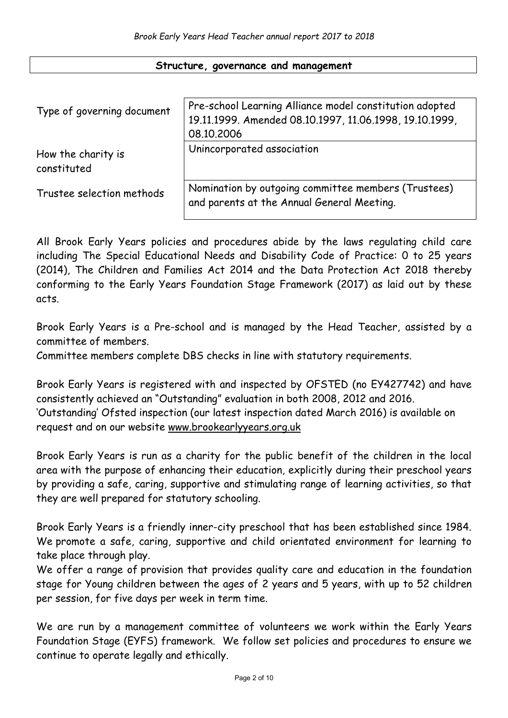#### **Structure, governance and management**

| Type of governing document        | Pre-school Learning Alliance model constitution adopted<br>19.11.1999. Amended 08.10.1997, 11.06.1998, 19.10.1999,<br>08.10.2006 |
|-----------------------------------|----------------------------------------------------------------------------------------------------------------------------------|
| How the charity is<br>constituted | Unincorporated association                                                                                                       |
| Trustee selection methods         | Nomination by outgoing committee members (Trustees)<br>and parents at the Annual General Meeting.                                |

All Brook Early Years policies and procedures abide by the laws regulating child care including The Special Educational Needs and Disability Code of Practice: 0 to 25 years (2014), The Children and Families Act 2014 and the Data Protection Act 2018 thereby conforming to the Early Years Foundation Stage Framework (2017) as laid out by these acts.

Brook Early Years is a Pre-school and is managed by the Head Teacher, assisted by a committee of members.

Committee members complete DBS checks in line with statutory requirements.

Brook Early Years is registered with and inspected by OFSTED (no EY427742) and have consistently achieved an "Outstanding" evaluation in both 2008, 2012 and 2016. 'Outstanding' Ofsted inspection (our latest inspection dated March 2016) is available on request and on our website [www.brookearlyyears.org.uk](http://www.brookearlyyears.org.uk/)

Brook Early Years is run as a charity for the public benefit of the children in the local area with the purpose of enhancing their education, explicitly during their preschool years by providing a safe, caring, supportive and stimulating range of learning activities, so that they are well prepared for statutory schooling.

Brook Early Years is a friendly inner-city preschool that has been established since 1984. We promote a safe, caring, supportive and child orientated environment for learning to take place through play.

We offer a range of provision that provides quality care and education in the foundation stage for Young children between the ages of 2 years and 5 years, with up to 52 children per session, for five days per week in term time.

We are run by a management committee of volunteers we work within the Early Years Foundation Stage (EYFS) framework. We follow set policies and procedures to ensure we continue to operate legally and ethically.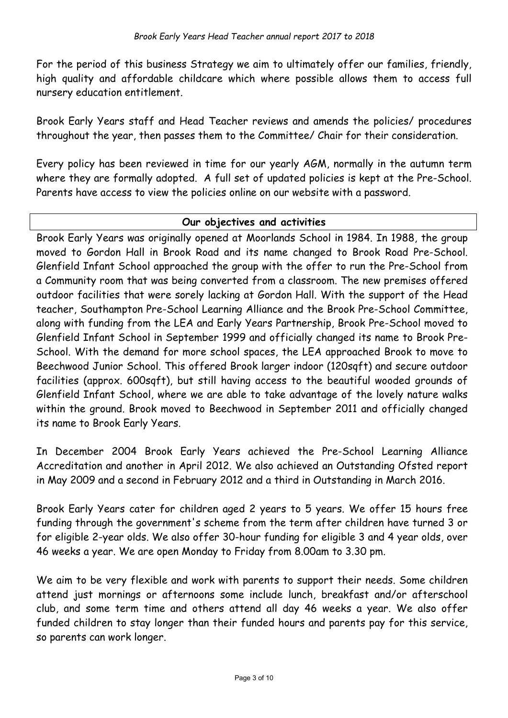For the period of this business Strategy we aim to ultimately offer our families, friendly, high quality and affordable childcare which where possible allows them to access full nursery education entitlement.

Brook Early Years staff and Head Teacher reviews and amends the policies/ procedures throughout the year, then passes them to the Committee/ Chair for their consideration.

Every policy has been reviewed in time for our yearly AGM, normally in the autumn term where they are formally adopted. A full set of updated policies is kept at the Pre-School. Parents have access to view the policies online on our website with a password.

## **Our objectives and activities**

Brook Early Years was originally opened at Moorlands School in 1984. In 1988, the group moved to Gordon Hall in Brook Road and its name changed to Brook Road Pre-School. Glenfield Infant School approached the group with the offer to run the Pre-School from a Community room that was being converted from a classroom. The new premises offered outdoor facilities that were sorely lacking at Gordon Hall. With the support of the Head teacher, Southampton Pre-School Learning Alliance and the Brook Pre-School Committee, along with funding from the LEA and Early Years Partnership, Brook Pre-School moved to Glenfield Infant School in September 1999 and officially changed its name to Brook Pre-School. With the demand for more school spaces, the LEA approached Brook to move to Beechwood Junior School. This offered Brook larger indoor (120sqft) and secure outdoor facilities (approx. 600sqft), but still having access to the beautiful wooded grounds of Glenfield Infant School, where we are able to take advantage of the lovely nature walks within the ground. Brook moved to Beechwood in September 2011 and officially changed its name to Brook Early Years.

In December 2004 Brook Early Years achieved the Pre-School Learning Alliance Accreditation and another in April 2012. We also achieved an Outstanding Ofsted report in May 2009 and a second in February 2012 and a third in Outstanding in March 2016.

Brook Early Years cater for children aged 2 years to 5 years. We offer 15 hours free funding through the government's scheme from the term after children have turned 3 or for eligible 2-year olds. We also offer 30-hour funding for eligible 3 and 4 year olds, over 46 weeks a year. We are open Monday to Friday from 8.00am to 3.30 pm.

We aim to be very flexible and work with parents to support their needs. Some children attend just mornings or afternoons some include lunch, breakfast and/or afterschool club, and some term time and others attend all day 46 weeks a year. We also offer funded children to stay longer than their funded hours and parents pay for this service, so parents can work longer.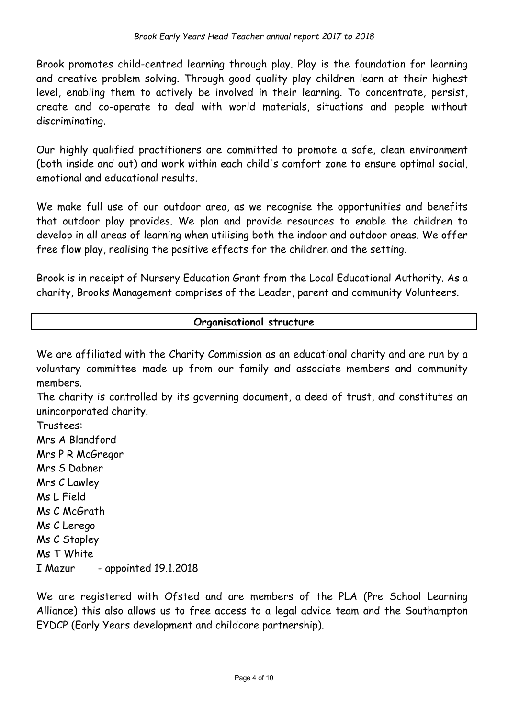Brook promotes child-centred learning through play. Play is the foundation for learning and creative problem solving. Through good quality play children learn at their highest level, enabling them to actively be involved in their learning. To concentrate, persist, create and co-operate to deal with world materials, situations and people without discriminating.

Our highly qualified practitioners are committed to promote a safe, clean environment (both inside and out) and work within each child's comfort zone to ensure optimal social, emotional and educational results.

We make full use of our outdoor area, as we recognise the opportunities and benefits that outdoor play provides. We plan and provide resources to enable the children to develop in all areas of learning when utilising both the indoor and outdoor areas. We offer free flow play, realising the positive effects for the children and the setting.

Brook is in receipt of Nursery Education Grant from the Local Educational Authority. As a charity, Brooks Management comprises of the Leader, parent and community Volunteers.

## **Organisational structure**

We are affiliated with the Charity Commission as an educational charity and are run by a voluntary committee made up from our family and associate members and community members.

The charity is controlled by its governing document, a deed of trust, and constitutes an unincorporated charity.

Trustees: Mrs A Blandford Mrs P R McGregor Mrs S Dabner Mrs C Lawley Ms L Field Ms C McGrath Ms C Lerego Ms C Stapley Ms T White I Mazur - appointed 19.1.2018

We are registered with Ofsted and are members of the PLA (Pre School Learning Alliance) this also allows us to free access to a legal advice team and the Southampton EYDCP (Early Years development and childcare partnership).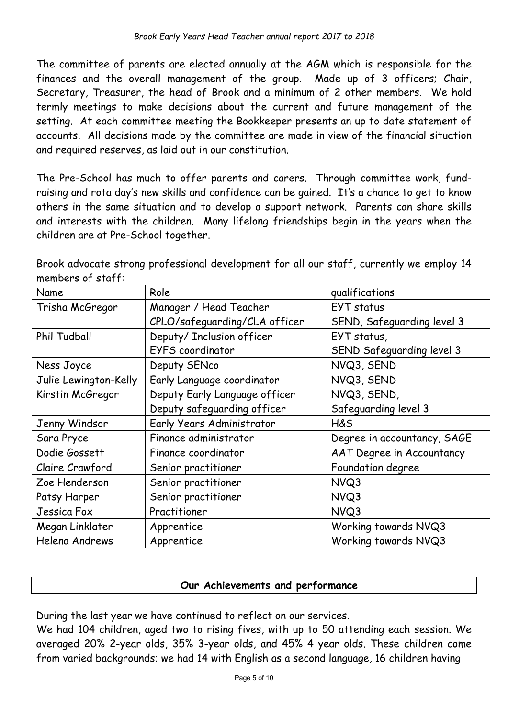The committee of parents are elected annually at the AGM which is responsible for the finances and the overall management of the group. Made up of 3 officers; Chair, Secretary, Treasurer, the head of Brook and a minimum of 2 other members. We hold termly meetings to make decisions about the current and future management of the setting. At each committee meeting the Bookkeeper presents an up to date statement of accounts. All decisions made by the committee are made in view of the financial situation and required reserves, as laid out in our constitution.

The Pre-School has much to offer parents and carers. Through committee work, fundraising and rota day's new skills and confidence can be gained. It's a chance to get to know others in the same situation and to develop a support network. Parents can share skills and interests with the children. Many lifelong friendships begin in the years when the children are at Pre-School together.

Brook advocate strong professional development for all our staff, currently we employ 14 members of staff:

| Name                  | Role                          | qualifications                   |  |
|-----------------------|-------------------------------|----------------------------------|--|
| Trisha McGregor       | Manager / Head Teacher        | EYT status                       |  |
|                       | CPLO/safeguarding/CLA officer | SEND, Safeguarding level 3       |  |
| <b>Phil Tudball</b>   | Deputy/ Inclusion officer     | EYT status,                      |  |
|                       | <b>EYFS</b> coordinator       | SEND Safeguarding level 3        |  |
| Ness Joyce            | Deputy SENco                  | NVQ3, SEND                       |  |
| Julie Lewington-Kelly | Early Language coordinator    | NVQ3, SEND                       |  |
| Kirstin McGregor      | Deputy Early Language officer | NVQ3, SEND,                      |  |
|                       | Deputy safeguarding officer   | Safeguarding level 3             |  |
| Jenny Windsor         | Early Years Administrator     | <b>H&amp;S</b>                   |  |
| Sara Pryce            | Finance administrator         | Degree in accountancy, SAGE      |  |
| Dodie Gossett         | Finance coordinator           | <b>AAT Degree in Accountancy</b> |  |
| Claire Crawford       | Senior practitioner           | Foundation degree                |  |
| Zoe Henderson         | Senior practitioner           | NVQ3                             |  |
| Patsy Harper          | Senior practitioner           | NVQ3                             |  |
| Jessica Fox           | Practitioner                  | NVQ3                             |  |
| Megan Linklater       | Apprentice                    | Working towards NVQ3             |  |
| Helena Andrews        | Apprentice                    | Working towards NVQ3             |  |

## **Our Achievements and performance**

During the last year we have continued to reflect on our services.

We had 104 children, aged two to rising fives, with up to 50 attending each session. We averaged 20% 2-year olds, 35% 3-year olds, and 45% 4 year olds. These children come from varied backgrounds; we had 14 with English as a second language, 16 children having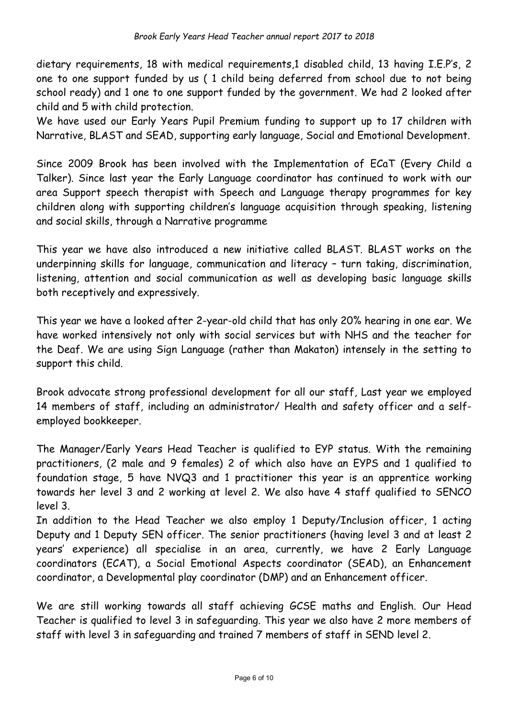dietary requirements, 18 with medical requirements,1 disabled child, 13 having I.E.P's, 2 one to one support funded by us ( 1 child being deferred from school due to not being school ready) and 1 one to one support funded by the government. We had 2 looked after child and 5 with child protection.

We have used our Early Years Pupil Premium funding to support up to 17 children with Narrative, BLAST and SEAD, supporting early language, Social and Emotional Development.

Since 2009 Brook has been involved with the Implementation of ECaT (Every Child a Talker). Since last year the Early Language coordinator has continued to work with our area Support speech therapist with Speech and Language therapy programmes for key children along with supporting children's language acquisition through speaking, listening and social skills, through a Narrative programme

This year we have also introduced a new initiative called BLAST. BLAST works on the underpinning skills for language, communication and literacy – turn taking, discrimination, listening, attention and social communication as well as developing basic language skills both receptively and expressively.

This year we have a looked after 2-year-old child that has only 20% hearing in one ear. We have worked intensively not only with social services but with NHS and the teacher for the Deaf. We are using Sign Language (rather than Makaton) intensely in the setting to support this child.

Brook advocate strong professional development for all our staff, Last year we employed 14 members of staff, including an administrator/ Health and safety officer and a selfemployed bookkeeper.

The Manager/Early Years Head Teacher is qualified to EYP status. With the remaining practitioners, (2 male and 9 females) 2 of which also have an EYPS and 1 qualified to foundation stage, 5 have NVQ3 and 1 practitioner this year is an apprentice working towards her level 3 and 2 working at level 2. We also have 4 staff qualified to SENCO level 3.

In addition to the Head Teacher we also employ 1 Deputy/Inclusion officer, 1 acting Deputy and 1 Deputy SEN officer. The senior practitioners (having level 3 and at least 2 years' experience) all specialise in an area, currently, we have 2 Early Language coordinators (ECAT), a Social Emotional Aspects coordinator (SEAD), an Enhancement coordinator, a Developmental play coordinator (DMP) and an Enhancement officer.

We are still working towards all staff achieving GCSE maths and English. Our Head Teacher is qualified to level 3 in safeguarding. This year we also have 2 more members of staff with level 3 in safeguarding and trained 7 members of staff in SEND level 2.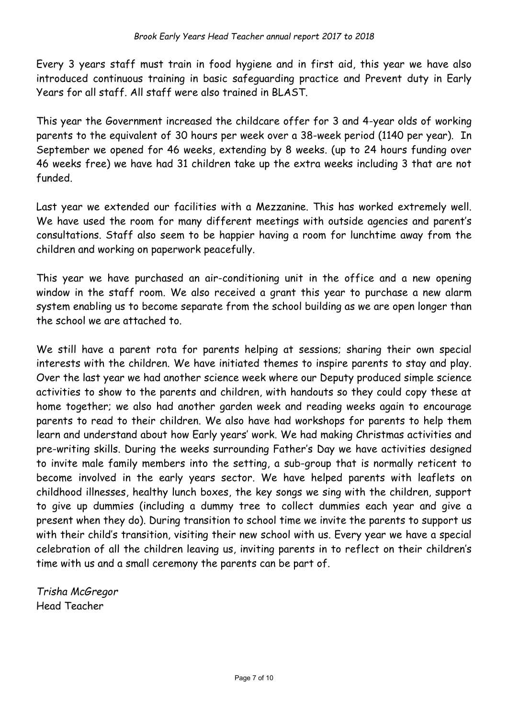Every 3 years staff must train in food hygiene and in first aid, this year we have also introduced continuous training in basic safeguarding practice and Prevent duty in Early Years for all staff. All staff were also trained in BLAST.

This year the Government increased the childcare offer for 3 and 4-year olds of working parents to the equivalent of 30 hours per week over a 38-week period (1140 per year). In September we opened for 46 weeks, extending by 8 weeks. (up to 24 hours funding over 46 weeks free) we have had 31 children take up the extra weeks including 3 that are not funded.

Last year we extended our facilities with a Mezzanine. This has worked extremely well. We have used the room for many different meetings with outside agencies and parent's consultations. Staff also seem to be happier having a room for lunchtime away from the children and working on paperwork peacefully.

This year we have purchased an air-conditioning unit in the office and a new opening window in the staff room. We also received a grant this year to purchase a new alarm system enabling us to become separate from the school building as we are open longer than the school we are attached to.

We still have a parent rota for parents helping at sessions; sharing their own special interests with the children. We have initiated themes to inspire parents to stay and play. Over the last year we had another science week where our Deputy produced simple science activities to show to the parents and children, with handouts so they could copy these at home together; we also had another garden week and reading weeks again to encourage parents to read to their children. We also have had workshops for parents to help them learn and understand about how Early years' work. We had making Christmas activities and pre-writing skills. During the weeks surrounding Father's Day we have activities designed to invite male family members into the setting, a sub-group that is normally reticent to become involved in the early years sector. We have helped parents with leaflets on childhood illnesses, healthy lunch boxes, the key songs we sing with the children, support to give up dummies (including a dummy tree to collect dummies each year and give a present when they do). During transition to school time we invite the parents to support us with their child's transition, visiting their new school with us. Every year we have a special celebration of all the children leaving us, inviting parents in to reflect on their children's time with us and a small ceremony the parents can be part of.

*Trisha McGregor* Head Teacher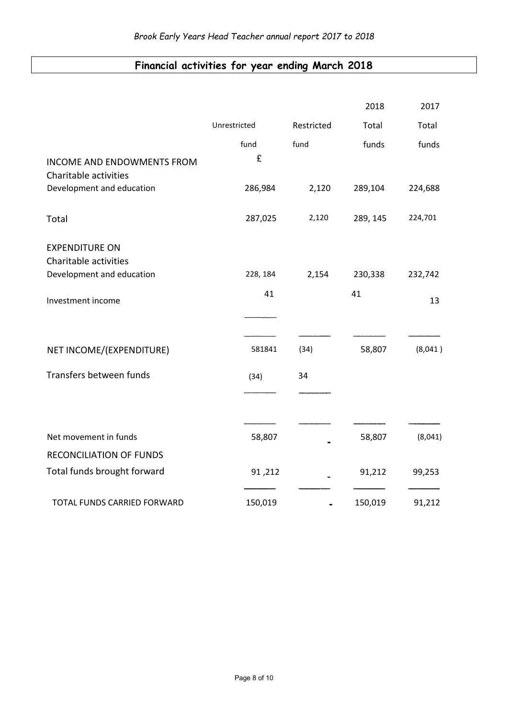# **Financial activities for year ending March 2018**

|                                                            |              |            | 2018     | 2017    |
|------------------------------------------------------------|--------------|------------|----------|---------|
|                                                            | Unrestricted | Restricted | Total    | Total   |
|                                                            | fund.        | fund       | funds.   | funds   |
| <b>INCOME AND ENDOWMENTS FROM</b><br>Charitable activities | £            |            |          |         |
| Development and education                                  | 286,984      | 2,120      | 289,104  | 224,688 |
| Total                                                      | 287,025      | 2,120      | 289, 145 | 224,701 |
| <b>EXPENDITURE ON</b><br>Charitable activities             |              |            |          |         |
| Development and education                                  | 228, 184     | 2,154      | 230,338  | 232,742 |
| Investment income                                          | 41           |            | 41       | 13      |
|                                                            |              |            |          |         |
| NET INCOME/(EXPENDITURE)                                   | 581841       | (34)       | 58,807   | (8,041) |
| Transfers between funds                                    | (34)         | 34         |          |         |
|                                                            |              |            |          |         |
| Net movement in funds                                      |              |            |          |         |
|                                                            | 58,807       |            | 58,807   | (8,041) |
| <b>RECONCILIATION OF FUNDS</b>                             |              |            |          |         |
| Total funds brought forward                                | 91,212       |            | 91,212   | 99,253  |
| TOTAL FUNDS CARRIED FORWARD                                | 150,019      |            | 150,019  | 91,212  |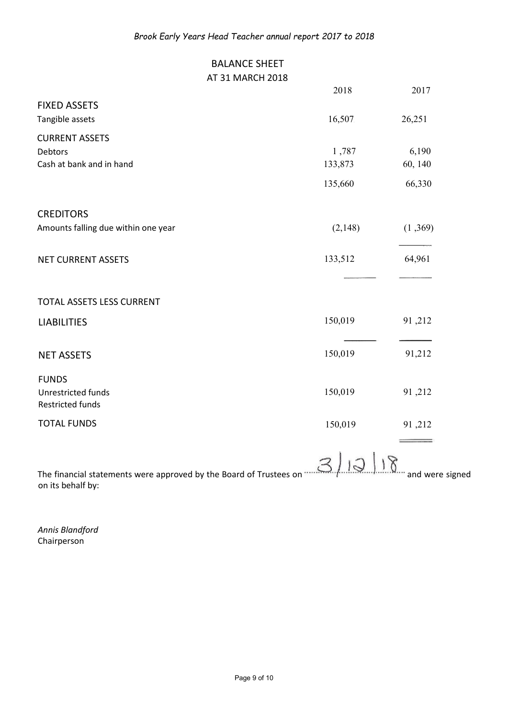## BALANCE SHEET AT 31 MARCH 2018

|                                           | 2018    | 2017    |
|-------------------------------------------|---------|---------|
| <b>FIXED ASSETS</b>                       |         |         |
| Tangible assets                           | 16,507  | 26,251  |
| <b>CURRENT ASSETS</b>                     |         |         |
| <b>Debtors</b>                            | 1,787   | 6,190   |
| Cash at bank and in hand                  | 133,873 | 60, 140 |
|                                           | 135,660 | 66,330  |
| <b>CREDITORS</b>                          |         |         |
| Amounts falling due within one year       | (2,148) | (1,369) |
| <b>NET CURRENT ASSETS</b>                 | 133,512 | 64,961  |
|                                           |         |         |
| TOTAL ASSETS LESS CURRENT                 |         |         |
| <b>LIABILITIES</b>                        | 150,019 | 91,212  |
| <b>NET ASSETS</b>                         | 150,019 | 91,212  |
|                                           |         |         |
| <b>FUNDS</b><br><b>Unrestricted funds</b> |         |         |
| <b>Restricted funds</b>                   | 150,019 | 91,212  |
| <b>TOTAL FUNDS</b>                        | 150,019 | 91,212  |
|                                           |         |         |

The financial statements were approved by the Board of Trustees on  $\mathbb{S}\left( \mathbb{Q} \mid \mathbb{S} \mid \mathbb{S} \right)$  and were signed on its behalf by:

*Annis Blandford* Chairperson